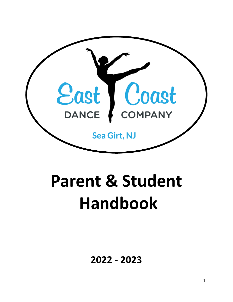

# **Parent & Student Handbook**

**2022 - 2023**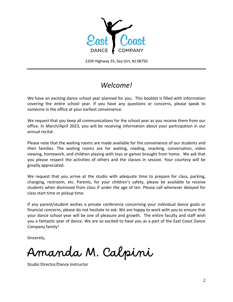

2204 Highway 35, Sea Girt, NJ 08750

### *Welcome!*

We have an exciting dance school year planned for you. This booklet is filled with information covering the entire school year. If you have any questions or concerns, please speak to someone in the office at your earliest convenience.

We request that you keep all communications for the school year as you receive them from our office. In March/April 2023, you will be receiving information about your participation in our annual recital.

Please note that the waiting rooms are made available for the convenience of our students and their families. The waiting rooms are for waiting, reading, snacking, conversation, video viewing, homework, and children playing with toys or games brought from home. We ask that you please respect the activities of others and the classes in session. Your courtesy will be greatly appreciated.

We request that you arrive at the studio with adequate time to prepare for class, parking, changing, restroom, etc. Parents, for your children's safety, please be available to receive students when dismissed from class if under the age of ten. Please call whenever delayed for class start time or pickup time.

If any parent/student wishes a private conference concerning your individual dance goals or financial concerns, please do not hesitate to ask. We are happy to work with you to ensure that your dance school year will be one of pleasure and growth. The entire faculty and staff wish you a fantastic year of dance. We are so excited to have you as a part of the East Coast Dance Company family!

Sincerely,

Amanda M. Calpini

Studio Director/Dance Instructor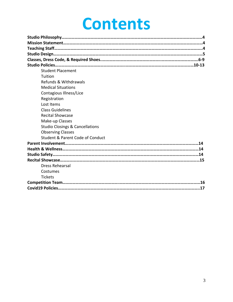## **Contents**

| <b>Student Placement</b>                   |
|--------------------------------------------|
| Tuition                                    |
| Refunds & Withdrawals                      |
| <b>Medical Situations</b>                  |
| Contagious Illness/Lice                    |
| Registration                               |
| Lost Items                                 |
| <b>Class Guidelines</b>                    |
| <b>Recital Showcase</b>                    |
| Make-up Classes                            |
| <b>Studio Closings &amp; Cancellations</b> |
| <b>Observing Classes</b>                   |
| Student & Parent Code of Conduct           |
|                                            |
|                                            |
|                                            |
|                                            |
| <b>Dress Rehearsal</b>                     |
| Costumes                                   |
| <b>Tickets</b>                             |
|                                            |
|                                            |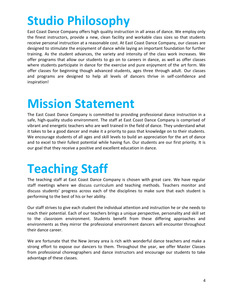## **Studio Philosophy**

East Coast Dance Company offers high quality instruction in all areas of dance. We employ only the finest instructors, provide a new, clean facility and workable class sizes so that students receive personal instruction at a reasonable cost. At East Coast Dance Company, our classes are designed to stimulate the enjoyment of dance while laying an important foundation for further training. As the student advances, the variety and intensity of the class work increases. We offer programs that allow our students to go on to careers in dance, as well as offer classes where students participate in dance for the exercise and pure enjoyment of the art form. We offer classes for beginning though advanced students, ages three through adult. Our classes and programs are designed to help all levels of dancers thrive in self-confidence and inspiration!

## **Mission Statement**

The East Coast Dance Company is committed to providing professional dance instruction in a safe, high-quality studio environment. The staff at East Coast Dance Company is comprised of vibrant and energetic teachers who are well trained in the field of dance. They understand what it takes to be a good dancer and make it a priority to pass that knowledge on to their students. We encourage students of all ages and skill levels to build an appreciation for the art of dance and to excel to their fullest potential while having fun. Our students are our first priority. It is our goal that they receive a positive and excellent education in dance.

## **Teaching Staff**

The teaching staff at East Coast Dance Company is chosen with great care. We have regular staff meetings where we discuss curriculum and teaching methods. Teachers monitor and discuss students' progress across each of the disciplines to make sure that each student is performing to the best of his or her ability.

Our staff strives to give each student the individual attention and instruction he or she needs to reach their potential. Each of our teachers brings a unique perspective, personality and skill set to the classroom environment. Students benefit from these differing approaches and environments as they mirror the professional environment dancers will encounter throughout their dance career.

We are fortunate that the New Jersey area is rich with wonderful dance teachers and make a strong effort to expose our dancers to them. Throughout the year, we offer Master Classes from professional choreographers and dance instructors and encourage our students to take advantage of these classes.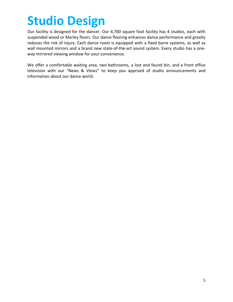## **Studio Design**

Our facility is designed for the dancer. Our 4,700 square foot facility has 4 studios, each with suspended wood or Marley floors. Our dance flooring enhances dance performance and greatly reduces the risk of injury. Each dance room is equipped with a fixed barre systems, as well as wall mounted mirrors and a brand new state-of-the-art sound system. Every studio has a oneway mirrored viewing window for your convenience.

We offer a comfortable waiting area, two bathrooms, a lost and found bin, and a front office television with our "News & Views" to keep you apprised of studio announcements and information about our dance world.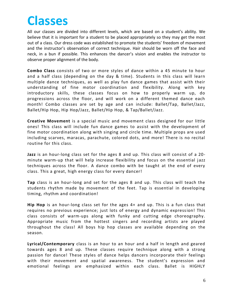## **Classes**

All our classes are divided into different levels, which are based on a student's ability. We believe that it is important for a student to be placed appropriately so they may get the most out of a class. Our dress code was established to promote the students' freedom of movement and the instructor's observation of correct technique. Hair should be worn off the face and neck, in a bun if possible. This enhances the dancer's vision and enables the instructor to observe proper alignment of the body.

**Combo Class** consists of two or more styles of dance within a 45 minute to hour and a half class (depending on the day & time). Students in this class will learn multiple dance techniques, as well as play fun dance games that assist with their understanding of fine motor coordination and flexibility. Along with key introductory skills, these classes focus on how to properly warm up, do progressions across the floor, and will work on a different themed dance each month! Combo classes are set by age and can include: Ballet/Tap, Ballet/Jazz, Ballet/Hip Hop, Hip Hop/Jazz, Ballet/Hip Hop, & Tap/Ballet/Jazz.

**Creative Movement** is a special music and movement class designed for our little ones! This class will include fun dance games to assist with the development of fine motor coordination along with singing and circle time. Multiple props are used including scarves, maracas, parachute, colored dots, and more! There is no recital routine for this class.

**Jazz** is an hour-long class set for the ages 8 and up. This class will consist of a 20 minute warm-up that will help increase flexibility and focus on the essential jazz techniques across the floor. A dance combo with be taught at the end of every class. This a great, high energy class for every dancer!

**Tap** class is an hour-long and set for the ages 8 and up. This class will teach the students rhythm made by movement of the feet. Tap is essential in developing timing, rhythm and coordination!

**Hip Hop** is an hour-long class set for the ages 4+ and up. This is a fun class that requires no previous experience; just lots of energy and dynamic expression! This class consists of warm-ups along with funky and cutting edge choreography. Appropriate music from the hottest singers and recording artists are played throughout the class! All boys hip hop classes are available depending on the season.

**Lyrical/Contemporary** class is an hour to an hour and a half in length and geared towards ages 8 and up. These classes require technique along with a strong passion for dance! These styles of dance helps dancers incorporate their feelings with their movement and spatial awareness. The student's expression and emotional feelings are emphasized within each class. Ballet is HIGHLY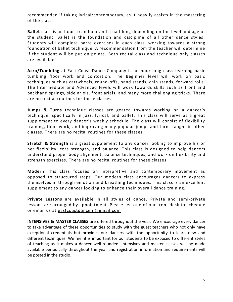recommended if taking lyrical/contemporary, as it heavily assists in the mastering of the class.

**Ballet** class is an hour to an hour and a half long depending on the level and age of the student. Ballet is the foundation and discipline of all other dance styles! Students will complete barre exercises in each class, working towards a strong foundation of ballet technique. A recommendation from the teacher will determine if the student will be put on pointe. Both recital class and technique only classes are available.

**Acro/Tumbling** at East Coast Dance Company is an hour-long class learning basic tumbling floor work and contortion. The Beginner level will work on basic techniques such as cartwheels, round-offs, hand stands, chin stands, forward rolls. The Intermediate and Advanced levels will work towards skills such as front and backhand springs, side ariels, front ariels, and many more challenging tricks. There are no recital routines for these classes.

**Jumps & Turns** technique classes are geared towards working on a dancer's technique, specifically in jazz, lyrical, and ballet. This class will serve as a great supplement to every dancer's weekly schedule. The class will consist of flexibility training, floor work, and improving many popular jumps and turns taught in other classes. There are no recital routines for these classes.

**Stretch & Strength** is a great supplement to any dancer looking to improve his or her flexibility, core strength, and balance. This class is designed to help dancers understand proper body alignment, balance techniques, and work on flexibi lity and strength exercises. There are no recital routines for these classes.

**Modern** This class focuses on interpretive and contemporary movement as opposed to structured steps. Our modern class encourages dancers to express themselves in through emotion and breathing techniques. This class is an excellent supplement to any dancer looking to enhance their overall dance training.

**Private Lessons** are available in all styles of dance. Private and semi-private lessons are arranged by appointment. Please see one of our front desk to schedule or email us at [eastcoastdancenj@gmail.com](mailto:eastcoastdancenj@gmail.com)

**INTENSIVES & MASTER CLASSES** are offered throughout the year. We encourage every dancer to take advantage of these opportunities to study with the guest teachers who not only have exceptional credentials but provides our dancers with the opportunity to learn new and different techniques. We feel it is important for our students to be exposed to different styles of teaching as it makes a dancer well-rounded. Intensives and master classes will be made available periodically throughout the year and registration information and requirements will be posted in the studio.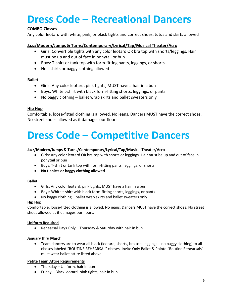### **Dress Code – Recreational Dancers**

### **COMBO Classes**

Any color leotard with white, pink, or black tights and correct shoes, tutus and skirts allowed

### **Jazz/Modern/Jumps & Turns/Contemporary/Lyrical/Tap/Musical Theater/Acro**

- Girls: Convertible tights with any color leotard OR bra top with shorts/leggings. Hair must be up and out of face in ponytail or bun
- Boys: T-shirt or tank top with form-fitting pants, leggings, or shorts
- No t-shirts or baggy clothing allowed

### **Ballet**

- Girls: Any color leotard, pink tights, MUST have a hair in a bun
- Boys: White t-shirt with black form-fitting shorts, leggings, or pants
- No baggy clothing ballet wrap skirts and ballet sweaters only

### **Hip Hop**

Comfortable, loose-fitted clothing is allowed. No jeans. Dancers MUST have the correct shoes. No street shoes allowed as it damages our floors.

### **Dress Code – Competitive Dancers**

### **Jazz/Modern/Jumps & Turns/Contemporary/Lyrical/Tap/Musical Theater/Acro**

- Girls: Any color leotard OR bra top with shorts or leggings. Hair must be up and out of face in ponytail or bun
- Boys: T-shirt or tank top with form-fitting pants, leggings, or shorts
- **No t-shirts or baggy clothing allowed**

### **Ballet**

- Girls: Any color leotard, pink tights, MUST have a hair in a bun
- Boys: White t-shirt with black form-fitting shorts, leggings, or pants
- No baggy clothing ballet wrap skirts and ballet sweaters only

### **Hip Hop**

Comfortable, loose-fitted clothing is allowed. No jeans. Dancers MUST have the correct shoes. No street shoes allowed as it damages our floors.

### **Uniform Required**

• Rehearsal Days Only – Thursday & Saturday with hair in bun

### **January thru March**

• Team dancers are to wear all black (leotard, shorts, bra top, leggings – no baggy clothing) to all classes labeled "ROUTINE REHEARSAL" classes. Invite Only Ballet & Pointe "Routine Rehearsals" must wear ballet attire listed above.

### **Petite Team Attire Requirements**

- Thursday Uniform, hair in bun
- Friday Black leotard, pink tights, hair in bun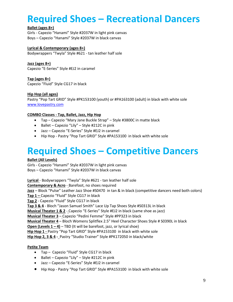### **Required Shoes – Recreational Dancers**

### **Ballet (ages 8+)**

Girls - Capezio "Hanami" Style #2037W in light pink canvas Boys – Capezio "Hanami" Style #2037W in black canvas

### **Lyrical & Contemporary (ages 8+)**

Bodywrappers "Twyla" Style #621 - tan leather half sole

### **Jazz (ages 8+)**

Capezio "E-Series" Style #EJ2 in caramel

**Tap (ages 8+)** Capezio "Fluid" Style CG17 in black

### **Hip Hop (all ages)**

Pastry "Pop Tart GRID" Style #PK153100 (youth) or #PA163100 (adult) in black with white sole [www.lovepastry.com](http://www.lovepastry.com/)

### **COMBO Classes - Tap, Ballet, Jazz, Hip Hop**

- Tap Capezio "Mary Jane Buckle Strap" Style #3800C in matte black
- Ballet Capezio "Lily" Style #212C in pink
- Jazz Capezio "E-Series" Style #EJ2 in caramel
- Hip Hop Pastry "Pop Tart GRID" Style #PA153100 in black with white sole

### **Required Shoes – Competitive Dancers**

### **Ballet (All Levels)**

Girls - Capezio "Hanami" Style #2037W in light pink canvas Boys – Capezio "Hanami" Style #2037W in black canvas

**Lyrical** - Bodywrappers "Twyla" Style #621 - tan leather half sole **Contemporary & Acro** - Barefoot, no shoes required **Jazz** – Block "Pulse" Leather Jazz Shoe #S0470 in tan & in black (competitive dancers need both colors) **Tap 1 –** Capezio "Fluid" Style CG17 in black **Tap 2** - Capezio "Fluid" Style CG17 in black **Tap 3 & 4** - Bloch "Jason Samuel Smith" Lace Up Tap Shoes Style #S0313L in black **Musical Theater 1 & 2** - Capezio "E-Series" Style #EJ2 in black (same shoe as jazz) **Musical Theater 3** – Capezio "Pedini Femme" Style #PP323 in black **Musical Theater 4** – Bloch Womens Splitflex 2.5" Heel Character Shoes Style # S0390L in black **Open (Levels 1 – 4)** – TBD (It will be barefoot, jazz, or lyrical shoe) **Hip Hop 1 -** Pastry "Pop Tart GRID" Style #PA153100 in black with white sole **Hip Hop 2, 3 & 4 -** Pastry "Studio Trainer" Style #PK172050 in black/white

### **Petite Team**

- Tap Capezio "Fluid" Style CG17 in black
- Ballet Capezio "Lily" Style #212C in pink
- Jazz Capezio "E-Series" Style #EJ2 in caramel
- Hip Hop Pastry "Pop Tart GRID" Style #PA153100 in black with white sole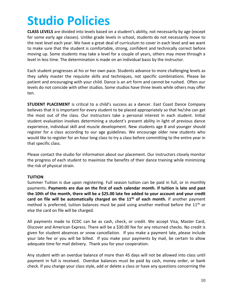## **Studio Policies**

**CLASS LEVELS** are divided into levels based on a student's ability, not necessarily by age (except for some early age classes). Unlike grade levels in school, students do not necessarily move to the next level each year. We have a great deal of curriculum to cover in each level and we want to make sure that the student is comfortable, strong, confident and technically correct before moving up. Some students may take a level for a couple of years, others may move through a level in less time. The determination is made on an individual basis by the instructor.

Each student progresses at his or her own pace. Students advance to more challenging levels as they safely master the requisite skills and techniques, not specific combinations. Please be patient and encouraging with your child. Dance is an art form and cannot be rushed. Often our levels do not coincide with other studios. Some studios have three levels while others may offer ten.

**STUDENT PLACEMENT** is critical to a child's success as a dancer. East Coast Dance Company believes that it is important for every student to be placed appropriately so that he/she can get the most out of the class. Our instructors take a personal interest in each student. Initial student evaluation involves determining a student's present ability in light of previous dance experience, individual skill and muscle development. New students age 8 and younger should register for a class according to our age guidelines. We encourage older new students who would like to register for an hour long class to try a class before committing to the entire year in that specific class.

Please contact the studio for information about our placement. Our instructors closely monitor the progress of each student to maximize the benefits of their dance training while minimizing the risk of physical strain.

### **TUITION**

Summer Tuition is due upon registering. Full season tuition can be paid in full, or in monthly payments. **Payments are due on the first of each calendar month. If tuition is late and past the 10th of the month, there will be a \$25.00 late fee added to your account and your credit card on file will be automatically charged on the 11th of each month.** If another payment method is preferred, tuition balances must be paid using another method before the  $11<sup>th</sup>$  or else the card on file will be charged.

All payments made to ECDC can be as cash, check, or credit. We accept Visa, Master Card, Discover and American Express. There will be a \$30.00 fee for any returned checks. No credit is given for student absences or snow cancellation. If you make a payment late, please include your late fee or you will be billed. If you make your payments by mail, be certain to allow adequate time for mail delivery. Thank you for your cooperation.

Any student with an overdue balance of more than 45 days will not be allowed into class until payment in full is received. Overdue balances must be paid by cash, money order, or bank check. If you change your class style, add or delete a class or have any questions concerning the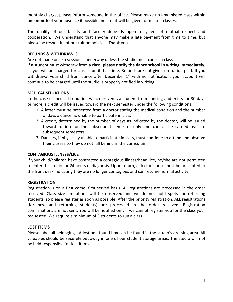monthly charge, please inform someone in the office. Please make up any missed class within **one month** of your absence if possible; no credit will be given for missed classes.

The quality of our facility and faculty depends upon a system of mutual respect and cooperation. We understand that anyone may make a late payment from time to time, but please be respectful of our tuition policies. Thank you.

### **REFUNDS & WITHDRAWLS**

Are not made once a session is underway unless the studio must cancel a class.

If a student must withdraw from a class, **please notify the dance school in writing immediately**, as you will be charged for classes until that time. Refunds are not given on tuition paid. If you withdrawal your child from dance after December  $1<sup>st</sup>$  with no notification, your account will continue to be charged until the studio is properly notified in writing.

### **MEDICAL SITUATIONS**

In the case of medical condition which prevents a student from dancing and exists for 30 days or more, a credit will be issued toward the next semester under the following conditions:

- 1. A letter must be presented from a doctor stating the medical condition and the number of days a dancer is unable to participate in class
- 2. A credit, determined by the number of days as indicated by the doctor, will be issued toward tuition for the subsequent semester only and cannot be carried over to subsequent semesters
- 3. Dancers, if physically unable to participate in class, must continue to attend and observe their classes so they do not fall behind in the curriculum.

### **CONTAGIOUS ILLNESS/LICE**

If your child/children have contracted a contagious illness/head lice, he/she are not permitted to enter the studio for 24 hours of diagnosis. Upon return, a doctor's note must be presented to the front desk indicating they are no longer contagious and can resume normal activity.

### **REGISTRATION**

Registration is on a first come, first served basis. All registrations are processed in the order received. Class size limitations will be observed and we do not hold spots for returning students, so please register as soon as possible. After the priority registration, ALL registrations (for new and returning students) are processed in the order received. Registration confirmations are not sent. You will be notified only if we cannot register you for the class your requested. We require a minimum of 5 students to run a class.

### **LOST ITEMS**

Please label all belongings. A lost and found box can be found in the studio's dressing area. All valuables should be securely put away in one of our student storage areas. The studio will not be held responsible for lost items.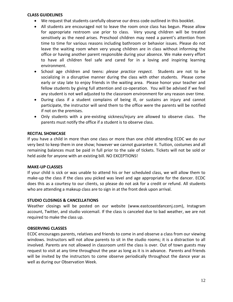#### **CLASS GUIDELINES**

- We request that students carefully observe our dress code outlined in this booklet.
- All students are encouraged not to leave the room once class has begun. Please allow for appropriate restroom use prior to class. Very young children will be treated sensitively as the need arises. Preschool children may need a parent's attention from time to time for various reasons including bathroom or behavior issues. Please do not leave the waiting room when very young children are in class without informing the office or having another parent responsible during your absence. We make every effort to have all children feel safe and cared for in a loving and inspiring learning environment.
- School age children and teens: *please practice respect.* Students are not to be socializing in a disruptive manner during the class with other students. Please come early or stay late to enjoy friends in the waiting area. Please honor your teacher and fellow students by giving full attention and co-operation. You will be advised if we feel any student is not well adjusted to the classroom environment for any reason over time.
- During class if a student complains of being ill, or sustains an injury and cannot participate, the instructor will send them to the office were the parents will be notified if not on the premises.
- Only students with a pre-existing sickness/injury are allowed to observe class. The parents must notify the office if a student is to observe class.

### **RECITAL SHOWCASE**

If you have a child in more than one class or more than one child attending ECDC we do our very best to keep them in one show; however we cannot guarantee it. Tuition, costumes and all remaining balances must be paid in full prior to the sale of tickets. Tickets will not be sold or held aside for anyone with an existing bill. NO EXCEPTIONS!

#### **MAKE-UP CLASSES**

If your child is sick or was unable to attend his or her scheduled class, we will allow them to make-up the class if the class you picked was level and age appropriate for the dancer. ECDC does this as a courtesy to our clients, so please do not ask for a credit or refund. All students who are attending a makeup class are to sign in at the front desk upon arrival.

### **STUDIO CLOSINGS & CANCELLATIONS**

Weather closings will be posted on our website (www.eastcoastdancenj.com), Instagram account, Twitter, and studio voicemail. If the class is canceled due to bad weather, we are not required to make the class up.

### **OBSERVING CLASSES**

ECDC encourages parents, relatives and friends to come in and observe a class from our viewing windows. Instructors will not allow parents to sit in the studio rooms; it is a distraction to all involved. Parents are not allowed in classroom until the class is over. Out of town guests may request to visit at any time throughout the year as long as it is in advance. Parents and friends will be invited by the instructors to come observe periodically throughout the dance year as well as during our Observation Week.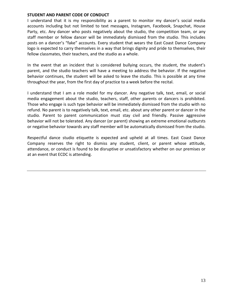#### **STUDENT AND PARENT CODE OF CONDUCT**

I understand that it is my responsibility as a parent to monitor my dancer's social media accounts including but not limited to text messages, Instagram, Facebook, Snapchat, House Party, etc. Any dancer who posts negatively about the studio, the competition team, or any staff member or fellow dancer will be immediately dismissed from the studio. This includes posts on a dancer's "fake" accounts. Every student that wears the East Coast Dance Company logo is expected to carry themselves in a way that brings dignity and pride to themselves, their fellow classmates, their teachers, and the studio as a whole.

In the event that an incident that is considered bullying occurs, the student, the student's parent, and the studio teachers will have a meeting to address the behavior. If the negative behavior continues, the student will be asked to leave the studio. This is possible at any time throughout the year, from the first day of practice to a week before the recital.

I understand that I am a role model for my dancer. Any negative talk, text, email, or social media engagement about the studio, teachers, staff, other parents or dancers is prohibited. Those who engage is such type behavior will be immediately dismissed from the studio with no refund. No parent is to negatively talk, text, email, etc. about any other parent or dancer in the studio. Parent to parent communication must stay civil and friendly. Passive aggressive behavior will not be tolerated. Any dancer (or parent) showing an extreme emotional outbursts or negative behavior towards any staff member will be automatically dismissed from the studio.

Respectful dance studio etiquette is expected and upheld at all times. East Coast Dance Company reserves the right to dismiss any student, client, or parent whose attitude, attendance, or conduct is found to be disruptive or unsatisfactory whether on our premises or at an event that ECDC is attending.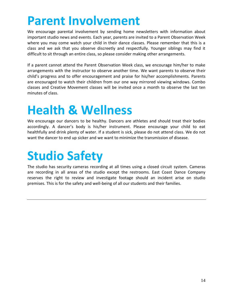## **Parent Involvement**

We encourage parental involvement by sending home newsletters with information about important studio news and events. Each year, parents are invited to a Parent Observation Week where you may come watch your child in their dance classes. Please remember that this is a class and we ask that you observe discreetly and respectfully. Younger siblings may find it difficult to sit through an entire class, so please consider making other arrangements.

If a parent cannot attend the Parent Observation Week class, we encourage him/her to make arrangements with the instructor to observe another time. We want parents to observe their child's progress and to offer encouragement and praise for his/her accomplishments. Parents are encouraged to watch their children from our one way mirrored viewing windows. Combo classes and Creative Movement classes will be invited once a month to observe the last ten minutes of class.

## **Health & Wellness**

We encourage our dancers to be healthy. Dancers are athletes and should treat their bodies accordingly. A dancer's body is his/her instrument. Please encourage your child to eat healthfully and drink plenty of water. If a student is sick, please do not attend class. We do not want the dancer to end up sicker and we want to minimize the transmission of disease.

## **Studio Safety**

The studio has security cameras recording at all times using a closed circuit system. Cameras are recording in all areas of the studio except the restrooms. East Coast Dance Company reserves the right to review and investigate footage should an incident arise on studio premises. This is for the safety and well-being of all our students and their families.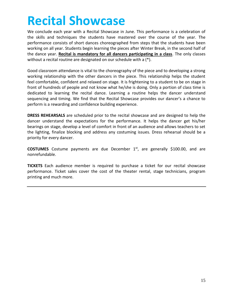## **Recital Showcase**

We conclude each year with a Recital Showcase in June. This performance is a celebration of the skills and techniques the students have mastered over the course of the year. The performance consists of short dances choreographed from steps that the students have been working on all year. Students begin learning the pieces after Winter Break, in the second half of the dance year. **Recital is mandatory for all dancers participating in a class**. The only classes without a recital routine are designated on our schedule with a (\*).

Good classroom attendance is vital to the choreography of the piece and to developing a strong working relationship with the other dancers in the piece. This relationship helps the student feel comfortable, confident and relaxed on stage. It is frightening to a student to be on stage in front of hundreds of people and not know what he/she is doing. Only a portion of class time is dedicated to learning the recital dance. Learning a routine helps the dancer understand sequencing and timing. We find that the Recital Showcase provides our dancer's a chance to perform is a rewarding and confidence building experience.

**DRESS REHEARSALS** are scheduled prior to the recital showcase and are designed to help the dancer understand the expectations for the performance. It helps the dancer get his/her bearings on stage, develop a level of comfort in front of an audience and allows teachers to set the lighting, finalize blocking and address any costuming issues. Dress rehearsal should be a priority for every dancer.

**COSTUMES** Costume payments are due December 1<sup>st</sup>, are generally \$100.00, and are nonrefundable.

**TICKETS** Each audience member is required to purchase a ticket for our recital showcase performance. Ticket sales cover the cost of the theater rental, stage technicians, program printing and much more.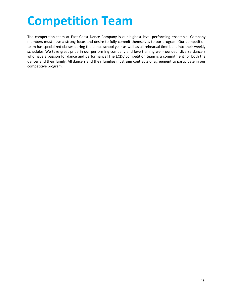## **Competition Team**

The competition team at East Coast Dance Company is our highest level performing ensemble. Company members must have a strong focus and desire to fully commit themselves to our program. Our competition team has specialized classes during the dance school year as well as all rehearsal time built into their weekly schedules. We take great pride in our performing company and love training well-rounded, diverse dancers who have a passion for dance and performance! The ECDC competition team is a commitment for both the dancer and their family. All dancers and their families must sign contracts of agreement to participate in our competitive program.